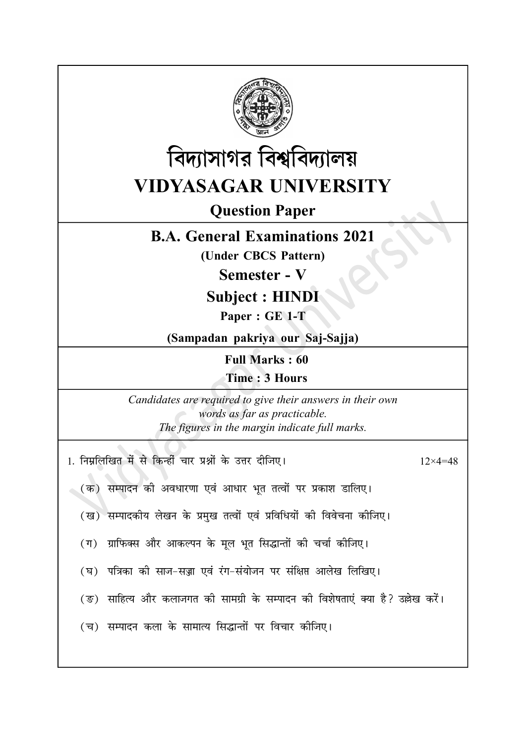



**Question Paper** 

## **B.A. General Examinations 2021**

(Under CBCS Pattern)

Semester - V

## **Subject: HINDI**

Paper: GE 1-T

(Sampadan pakriya our Saj-Sajja)

**Full Marks: 60** 

Time: 3 Hours

Candidates are required to give their answers in their own words as far as practicable. The figures in the margin indicate full marks.

| 1. निम्नलिखित में से किन्हीं चार प्रश्नों के उत्तर दीजिए।                       | $12\times4=48$ |
|---------------------------------------------------------------------------------|----------------|
| (क) सम्पादन की अवधारणा एवं आधार भूत तत्वों पर प्रकाश डालिए।                     |                |
| (ख) सम्पादकीय लेखन के प्रमुख तत्वों एवं प्रविधियों की विवेचना कीजिए।            |                |
| (ग)  ग्राफिक्स और आकल्पन के मूल भूत सिद्धान्तों की चर्चा कोजिए।                 |                |
| (घ) पत्रिका की साज-सज्जा एवं रंग-संयोजन पर संक्षिप्त आलेख लिखिए।                |                |
| (ङ)  साहित्य और कलाजगत को सामग्री के सम्पादन को विशेषताएं क्या है? उल्लेख करें। |                |
| (च) सम्पादन कला के सामात्य सिद्धान्तों पर विचार कोजिए।                          |                |
|                                                                                 |                |